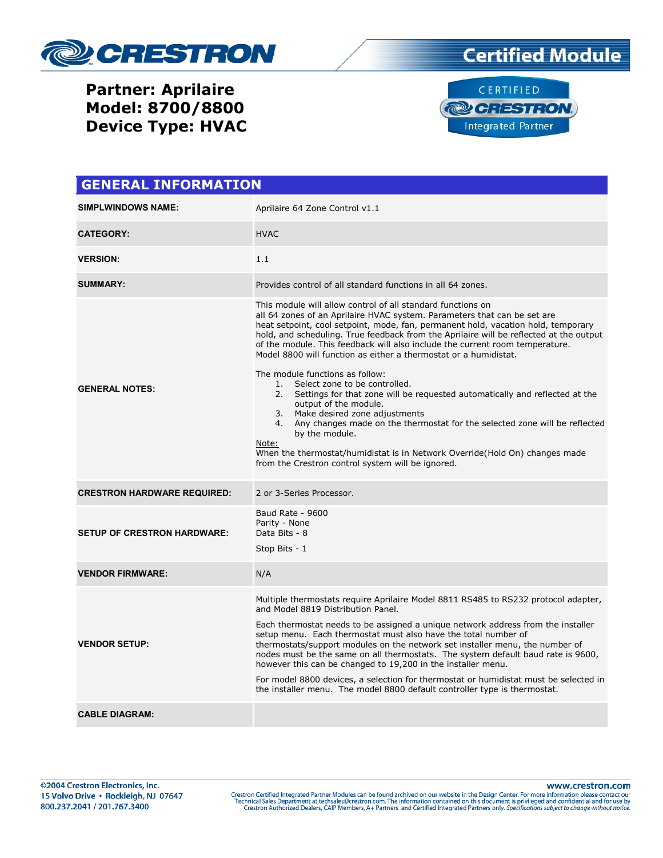

# **Certified Module**

#### Partner: Aprilaire Model: 8700/8800 Device Type: HVAC



| <b>GENERAL INFORMATION</b>         |                                                                                                                                                                                                                                                                                                                                                                                                                                                                                                                                                                                                                                                                                                                                                                                                                                                                                                                                                  |  |
|------------------------------------|--------------------------------------------------------------------------------------------------------------------------------------------------------------------------------------------------------------------------------------------------------------------------------------------------------------------------------------------------------------------------------------------------------------------------------------------------------------------------------------------------------------------------------------------------------------------------------------------------------------------------------------------------------------------------------------------------------------------------------------------------------------------------------------------------------------------------------------------------------------------------------------------------------------------------------------------------|--|
| <b>SIMPLWINDOWS NAME:</b>          | Aprilaire 64 Zone Control v1.1                                                                                                                                                                                                                                                                                                                                                                                                                                                                                                                                                                                                                                                                                                                                                                                                                                                                                                                   |  |
| <b>CATEGORY:</b>                   | <b>HVAC</b>                                                                                                                                                                                                                                                                                                                                                                                                                                                                                                                                                                                                                                                                                                                                                                                                                                                                                                                                      |  |
| <b>VERSION:</b>                    | 1.1                                                                                                                                                                                                                                                                                                                                                                                                                                                                                                                                                                                                                                                                                                                                                                                                                                                                                                                                              |  |
| <b>SUMMARY:</b>                    | Provides control of all standard functions in all 64 zones.                                                                                                                                                                                                                                                                                                                                                                                                                                                                                                                                                                                                                                                                                                                                                                                                                                                                                      |  |
| <b>GENERAL NOTES:</b>              | This module will allow control of all standard functions on<br>all 64 zones of an Aprilaire HVAC system. Parameters that can be set are<br>heat setpoint, cool setpoint, mode, fan, permanent hold, vacation hold, temporary<br>hold, and scheduling. True feedback from the Aprilaire will be reflected at the output<br>of the module. This feedback will also include the current room temperature.<br>Model 8800 will function as either a thermostat or a humidistat.<br>The module functions as follow:<br>1. Select zone to be controlled.<br>2. Settings for that zone will be requested automatically and reflected at the<br>output of the module.<br>3. Make desired zone adjustments<br>4. Any changes made on the thermostat for the selected zone will be reflected<br>by the module.<br>Note:<br>When the thermostat/humidistat is in Network Override(Hold On) changes made<br>from the Crestron control system will be ignored. |  |
| <b>CRESTRON HARDWARE REQUIRED:</b> | 2 or 3-Series Processor.                                                                                                                                                                                                                                                                                                                                                                                                                                                                                                                                                                                                                                                                                                                                                                                                                                                                                                                         |  |
| <b>SETUP OF CRESTRON HARDWARE:</b> | Baud Rate - 9600<br>Parity - None<br>Data Bits - 8<br>Stop Bits - 1                                                                                                                                                                                                                                                                                                                                                                                                                                                                                                                                                                                                                                                                                                                                                                                                                                                                              |  |
| <b>VENDOR FIRMWARE:</b>            | N/A                                                                                                                                                                                                                                                                                                                                                                                                                                                                                                                                                                                                                                                                                                                                                                                                                                                                                                                                              |  |
| <b>VENDOR SETUP:</b>               | Multiple thermostats require Aprilaire Model 8811 RS485 to RS232 protocol adapter,<br>and Model 8819 Distribution Panel.<br>Each thermostat needs to be assigned a unique network address from the installer<br>setup menu. Each thermostat must also have the total number of<br>thermostats/support modules on the network set installer menu, the number of<br>nodes must be the same on all thermostats. The system default baud rate is 9600,<br>however this can be changed to 19,200 in the installer menu.<br>For model 8800 devices, a selection for thermostat or humidistat must be selected in<br>the installer menu. The model 8800 default controller type is thermostat.                                                                                                                                                                                                                                                          |  |
| <b>CABLE DIAGRAM:</b>              |                                                                                                                                                                                                                                                                                                                                                                                                                                                                                                                                                                                                                                                                                                                                                                                                                                                                                                                                                  |  |

www.crestron.com Crestron Certified Integrated Partner Modules can be found archived on our website in the Design Center. For more information please contact our Technical Sales Department at techsales@crestron.com. The information contain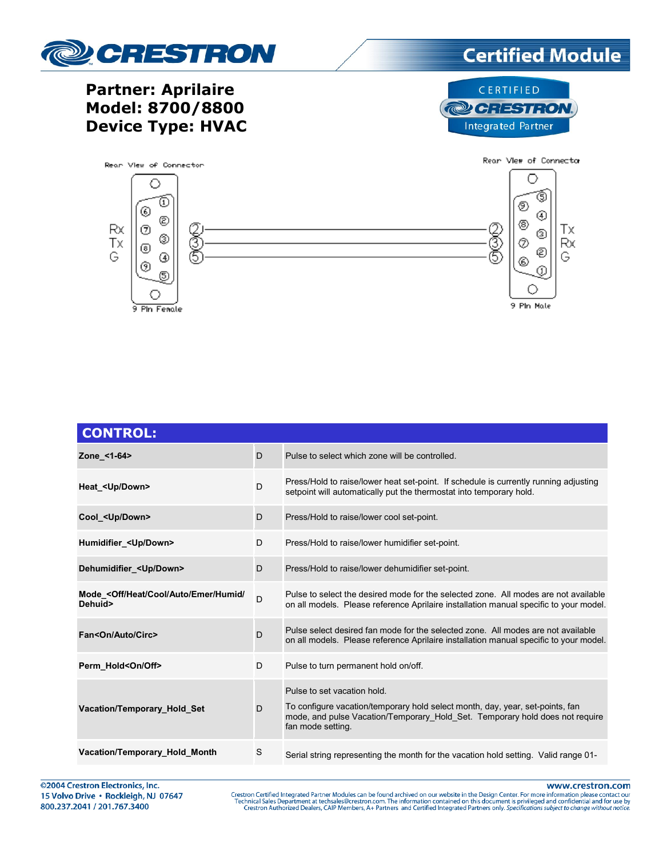

**Partner: Aprilaire** 

Model: 8700/8800

**Device Type: HVAC** 

# **Certified Module**

### CERTIFIED **@ CRESTRON** Integrated Partner



| <b>CONTROL:</b>                                                            |   |                                                                                                                                                                                                                   |
|----------------------------------------------------------------------------|---|-------------------------------------------------------------------------------------------------------------------------------------------------------------------------------------------------------------------|
| Zone <1-64>                                                                | D | Pulse to select which zone will be controlled.                                                                                                                                                                    |
| Heat <up down=""></up>                                                     | D | Press/Hold to raise/lower heat set-point. If schedule is currently running adjusting<br>setpoint will automatically put the thermostat into temporary hold.                                                       |
| Cool_ <up down=""></up>                                                    | D | Press/Hold to raise/lower cool set-point.                                                                                                                                                                         |
| Humidifier <up down=""></up>                                               | D | Press/Hold to raise/lower humidifier set-point.                                                                                                                                                                   |
| Dehumidifier <up down=""></up>                                             | D | Press/Hold to raise/lower dehumidifier set-point.                                                                                                                                                                 |
| Mode <off <br="" auto="" cool="" emer="" heat="" humid="">Dehuid&gt;</off> | D | Pulse to select the desired mode for the selected zone. All modes are not available<br>on all models. Please reference Aprilaire installation manual specific to your model.                                      |
| Fan <on auto="" circ=""></on>                                              | D | Pulse select desired fan mode for the selected zone. All modes are not available<br>on all models. Please reference Aprilaire installation manual specific to your model.                                         |
| Perm Hold <on off=""></on>                                                 | D | Pulse to turn permanent hold on/off.                                                                                                                                                                              |
| <b>Vacation/Temporary Hold Set</b>                                         | D | Pulse to set vacation hold.<br>To configure vacation/temporary hold select month, day, year, set-points, fan<br>mode, and pulse Vacation/Temporary Hold Set. Temporary hold does not require<br>fan mode setting. |
| <b>Vacation/Temporary Hold Month</b>                                       | S | Serial string representing the month for the vacation hold setting. Valid range 01-                                                                                                                               |

@2004 Crestron Electronics, Inc. 15 Volvo Drive · Rockleigh, NJ 07647 800.237.2041 / 201.767.3400

www.crestron.com

Crestron Certified Integrated Partner Modules can be found archived on our website in the Design Center. For more information please contact our Technical Sales Department at techsales@crestron.com. The information contain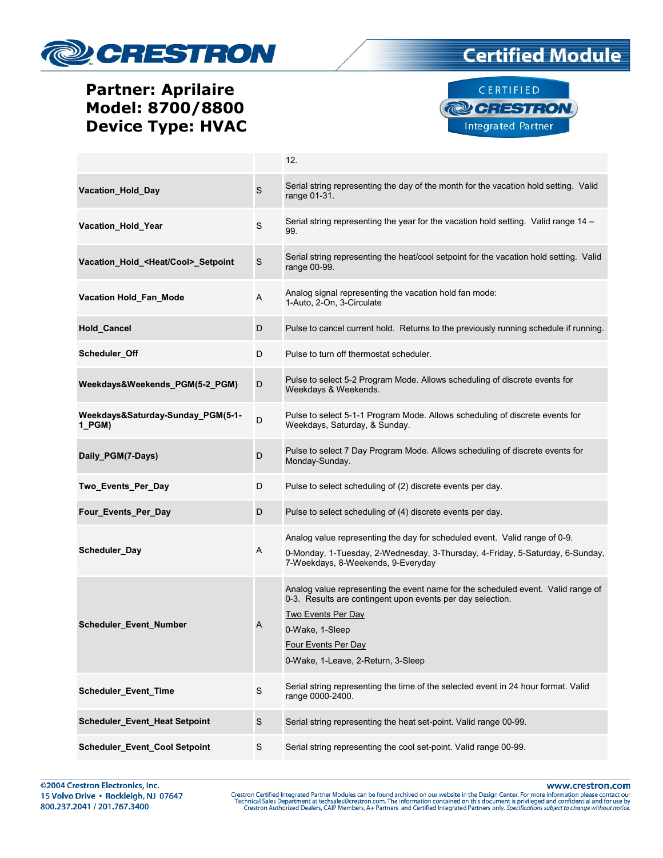

### Partner: Aprilaire Model: 8700/8800 Device Type: HVAC





|                                               |             | 12.                                                                                                                                                                                                                                                  |
|-----------------------------------------------|-------------|------------------------------------------------------------------------------------------------------------------------------------------------------------------------------------------------------------------------------------------------------|
| Vacation_Hold_Day                             | $\mathsf S$ | Serial string representing the day of the month for the vacation hold setting. Valid<br>range 01-31.                                                                                                                                                 |
| Vacation_Hold_Year                            | $\mathsf S$ | Serial string representing the year for the vacation hold setting. Valid range 14 -<br>99.                                                                                                                                                           |
| Vacation_Hold_ <heat cool="">_Setpoint</heat> | $\mathsf S$ | Serial string representing the heat/cool setpoint for the vacation hold setting. Valid<br>range 00-99.                                                                                                                                               |
| Vacation Hold_Fan_Mode                        | A           | Analog signal representing the vacation hold fan mode:<br>1-Auto, 2-On, 3-Circulate                                                                                                                                                                  |
| <b>Hold_Cancel</b>                            | D           | Pulse to cancel current hold. Returns to the previously running schedule if running.                                                                                                                                                                 |
| Scheduler_Off                                 | D           | Pulse to turn off thermostat scheduler.                                                                                                                                                                                                              |
| Weekdays&Weekends PGM(5-2 PGM)                | D           | Pulse to select 5-2 Program Mode. Allows scheduling of discrete events for<br>Weekdays & Weekends.                                                                                                                                                   |
| Weekdays&Saturday-Sunday PGM(5-1-<br>1 PGM)   | D           | Pulse to select 5-1-1 Program Mode. Allows scheduling of discrete events for<br>Weekdays, Saturday, & Sunday.                                                                                                                                        |
| Daily_PGM(7-Days)                             | D           | Pulse to select 7 Day Program Mode. Allows scheduling of discrete events for<br>Monday-Sunday.                                                                                                                                                       |
| Two_Events_Per_Day                            | D           | Pulse to select scheduling of (2) discrete events per day.                                                                                                                                                                                           |
| Four_Events_Per_Day                           | D           | Pulse to select scheduling of (4) discrete events per day.                                                                                                                                                                                           |
| Scheduler_Day                                 | A           | Analog value representing the day for scheduled event. Valid range of 0-9.<br>0-Monday, 1-Tuesday, 2-Wednesday, 3-Thursday, 4-Friday, 5-Saturday, 6-Sunday,<br>7-Weekdays, 8-Weekends, 9-Everyday                                                    |
| <b>Scheduler_Event_Number</b>                 | A           | Analog value representing the event name for the scheduled event. Valid range of<br>0-3. Results are contingent upon events per day selection.<br>Two Events Per Day<br>0-Wake, 1-Sleep<br>Four Events Per Day<br>0-Wake, 1-Leave, 2-Return, 3-Sleep |
| Scheduler_Event_Time                          | $\mathbf S$ | Serial string representing the time of the selected event in 24 hour format. Valid<br>range 0000-2400.                                                                                                                                               |
| Scheduler_Event_Heat Setpoint                 | $\mathsf S$ | Serial string representing the heat set-point. Valid range 00-99.                                                                                                                                                                                    |
| Scheduler_Event_Cool Setpoint                 | S           | Serial string representing the cool set-point. Valid range 00-99.                                                                                                                                                                                    |

www.crestron.com Crestron Certified Integrated Partner Modules can be found archived on our website in the Design Center. For more information please contact our Technical Sales Department at techsales@crestron.com. The information contain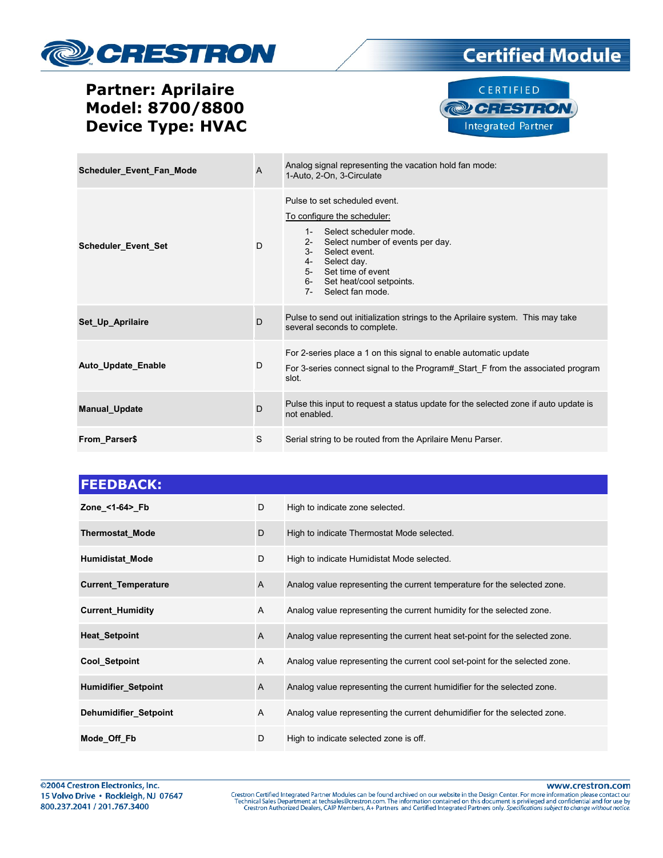

### Partner: Aprilaire Model: 8700/8800 Device Type: HVAC





| Scheduler_Event_Fan_Mode | $\overline{A}$ | Analog signal representing the vacation hold fan mode:<br>1-Auto, 2-On, 3-Circulate                                                                                                                                                                                           |
|--------------------------|----------------|-------------------------------------------------------------------------------------------------------------------------------------------------------------------------------------------------------------------------------------------------------------------------------|
| Scheduler_Event_Set      | D              | Pulse to set scheduled event.<br>To configure the scheduler:<br>Select scheduler mode.<br>$1 -$<br>Select number of events per day.<br>$2 -$<br>$3-$<br>Select event.<br>Select day.<br>4-<br>5- Set time of event<br>6- Set heat/cool setpoints.<br>Select fan mode.<br>$7-$ |
| Set Up Aprilaire         | D              | Pulse to send out initialization strings to the Aprilaire system. This may take<br>several seconds to complete.                                                                                                                                                               |
| Auto_Update_Enable       | D              | For 2-series place a 1 on this signal to enable automatic update<br>For 3-series connect signal to the Program# Start F from the associated program<br>slot.                                                                                                                  |
| <b>Manual_Update</b>     | D              | Pulse this input to request a status update for the selected zone if auto update is<br>not enabled.                                                                                                                                                                           |
| From Parser\$            | S              | Serial string to be routed from the Aprilaire Menu Parser.                                                                                                                                                                                                                    |

| D            | High to indicate zone selected.                                             |
|--------------|-----------------------------------------------------------------------------|
| D            | High to indicate Thermostat Mode selected.                                  |
| D            | High to indicate Humidistat Mode selected.                                  |
| $\mathsf{A}$ | Analog value representing the current temperature for the selected zone.    |
| A            | Analog value representing the current humidity for the selected zone.       |
| A            | Analog value representing the current heat set-point for the selected zone. |
| A            | Analog value representing the current cool set-point for the selected zone. |
| A            | Analog value representing the current humidifier for the selected zone.     |
| A            | Analog value representing the current dehumidifier for the selected zone.   |
| D            | High to indicate selected zone is off.                                      |
|              |                                                                             |

www.crestron.com

Crestron Certified Integrated Partner Modules can be found archived on our website in the Design Center. For more information please contact our Technical Sales Department at techsales@crestron.com. The information contain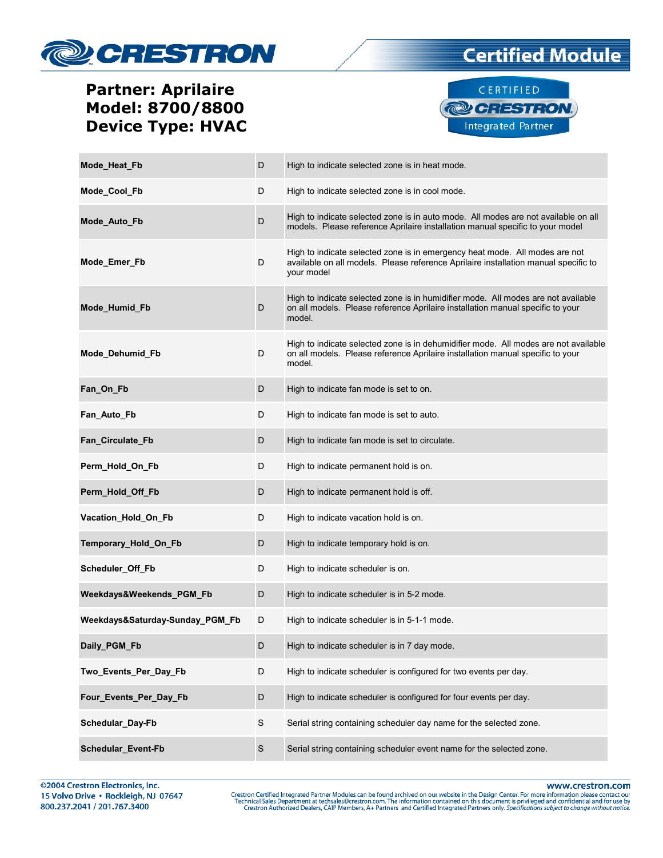

### Partner: Aprilaire Model: 8700/8800 Device Type: HVAC



**Certified Module** 

| Mode_Heat_Fb                    | D           | High to indicate selected zone is in heat mode.                                                                                                                                  |
|---------------------------------|-------------|----------------------------------------------------------------------------------------------------------------------------------------------------------------------------------|
| Mode Cool Fb                    | D           | High to indicate selected zone is in cool mode.                                                                                                                                  |
| Mode_Auto_Fb                    | D           | High to indicate selected zone is in auto mode. All modes are not available on all<br>models. Please reference Aprilaire installation manual specific to your model              |
| Mode_Emer_Fb                    | D           | High to indicate selected zone is in emergency heat mode. All modes are not<br>available on all models. Please reference Aprilaire installation manual specific to<br>your model |
| Mode_Humid_Fb                   | D           | High to indicate selected zone is in humidifier mode. All modes are not available<br>on all models. Please reference Aprilaire installation manual specific to your<br>model.    |
| Mode_Dehumid_Fb                 | D           | High to indicate selected zone is in dehumidifier mode. All modes are not available<br>on all models. Please reference Aprilaire installation manual specific to your<br>model.  |
| Fan_On_Fb                       | D           | High to indicate fan mode is set to on.                                                                                                                                          |
| Fan_Auto_Fb                     | D           | High to indicate fan mode is set to auto.                                                                                                                                        |
| Fan_Circulate_Fb                | D           | High to indicate fan mode is set to circulate.                                                                                                                                   |
| Perm_Hold_On_Fb                 | D           | High to indicate permanent hold is on.                                                                                                                                           |
| Perm_Hold_Off_Fb                | D           | High to indicate permanent hold is off.                                                                                                                                          |
| Vacation_Hold_On_Fb             | D           | High to indicate vacation hold is on.                                                                                                                                            |
| Temporary_Hold_On_Fb            | D           | High to indicate temporary hold is on.                                                                                                                                           |
| Scheduler_Off_Fb                | D           | High to indicate scheduler is on.                                                                                                                                                |
| Weekdays&Weekends_PGM_Fb        | D           | High to indicate scheduler is in 5-2 mode.                                                                                                                                       |
| Weekdays&Saturday-Sunday_PGM_Fb | D           | High to indicate scheduler is in 5-1-1 mode.                                                                                                                                     |
| Daily_PGM_Fb                    | D           | High to indicate scheduler is in 7 day mode.                                                                                                                                     |
| Two_Events_Per_Day_Fb           | D           | High to indicate scheduler is configured for two events per day.                                                                                                                 |
| Four_Events_Per_Day_Fb          | D           | High to indicate scheduler is configured for four events per day.                                                                                                                |
| Schedular_Day-Fb                | $\mathbf S$ | Serial string containing scheduler day name for the selected zone.                                                                                                               |
| <b>Schedular Event-Fb</b>       | $\mathsf S$ | Serial string containing scheduler event name for the selected zone.                                                                                                             |

www.crestron.com

Crestron Certified Integrated Partner Modules can be found archived on our website in the Design Center. For more information please contact our Technical Sales Department at techsales@crestron.com. The information contain